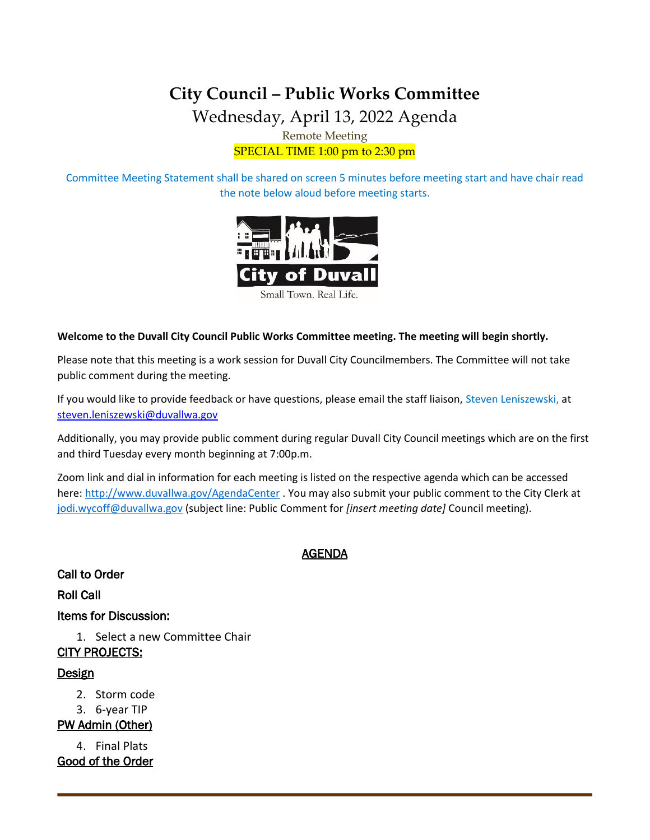# **City Council – Public Works Committee** Wednesday, April 13, 2022 Agenda Remote Meeting SPECIAL TIME 1:00 pm to 2:30 pm

Committee Meeting Statement shall be shared on screen 5 minutes before meeting start and have chair read the note below aloud before meeting starts.



#### **Welcome to the Duvall City Council Public Works Committee meeting. The meeting will begin shortly.**

Please note that this meeting is a work session for Duvall City Councilmembers. The Committee will not take public comment during the meeting.

If you would like to provide feedback or have questions, please email the staff liaison, Steven Leniszewski, at [steven.leniszewski@duvallwa.gov](mailto:steven.leniszewski@duvallwa.gov)

Additionally, you may provide public comment during regular Duvall City Council meetings which are on the first and third Tuesday every month beginning at 7:00p.m.

Zoom link and dial in information for each meeting is listed on the respective agenda which can be accessed here:<http://www.duvallwa.gov/AgendaCenter> . You may also submit your public comment to the City Clerk at [jodi.wycoff@duvallwa.gov](mailto:jodi.wycoff@duvallwa.gov) (subject line: Public Comment for *[insert meeting date]* Council meeting).

### AGENDA

Call to Order

Roll Call

Items for Discussion:

1. Select a new Committee Chair CITY PROJECTS:

### Design

- 2. Storm code
- 3. 6-year TIP

PW Admin (Other)

4. Final Plats Good of the Order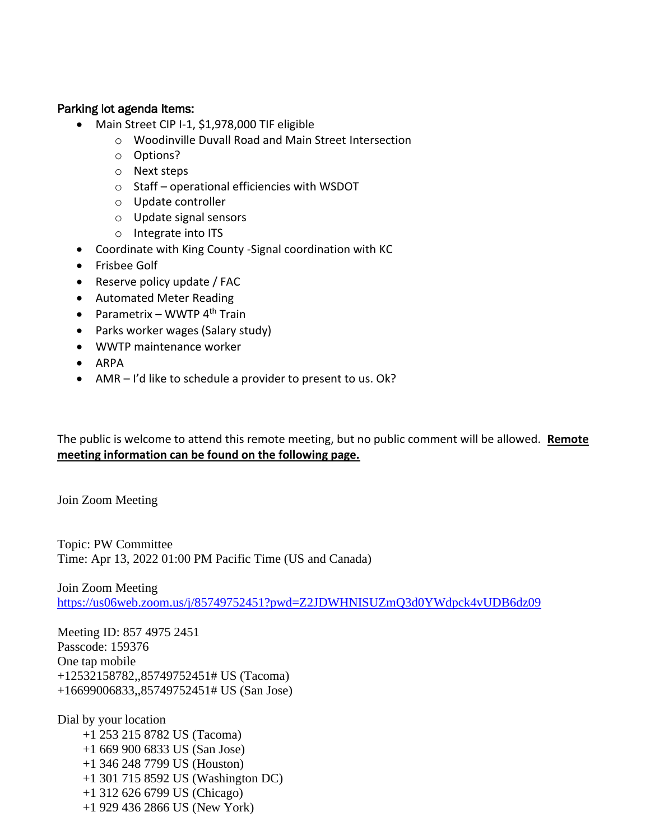## Parking lot agenda Items:

- Main Street CIP I-1, \$1,978,000 TIF eligible
	- o Woodinville Duvall Road and Main Street Intersection
	- o Options?
	- o Next steps
	- o Staff operational efficiencies with WSDOT
	- o Update controller
	- o Update signal sensors
	- o Integrate into ITS
- Coordinate with King County -Signal coordination with KC
- Frisbee Golf
- Reserve policy update / FAC
- Automated Meter Reading
- Parametrix WWTP  $4^{\text{th}}$  Train
- Parks worker wages (Salary study)
- WWTP maintenance worker
- ARPA
- AMR I'd like to schedule a provider to present to us. Ok?

The public is welcome to attend this remote meeting, but no public comment will be allowed. **Remote meeting information can be found on the following page.**

Join Zoom Meeting

Topic: PW Committee Time: Apr 13, 2022 01:00 PM Pacific Time (US and Canada)

Join Zoom Meeting <https://us06web.zoom.us/j/85749752451?pwd=Z2JDWHNISUZmQ3d0YWdpck4vUDB6dz09>

Meeting ID: 857 4975 2451 Passcode: 159376 One tap mobile +12532158782,,85749752451# US (Tacoma) +16699006833,,85749752451# US (San Jose)

Dial by your location +1 253 215 8782 US (Tacoma) +1 669 900 6833 US (San Jose) +1 346 248 7799 US (Houston) +1 301 715 8592 US (Washington DC) +1 312 626 6799 US (Chicago) +1 929 436 2866 US (New York)